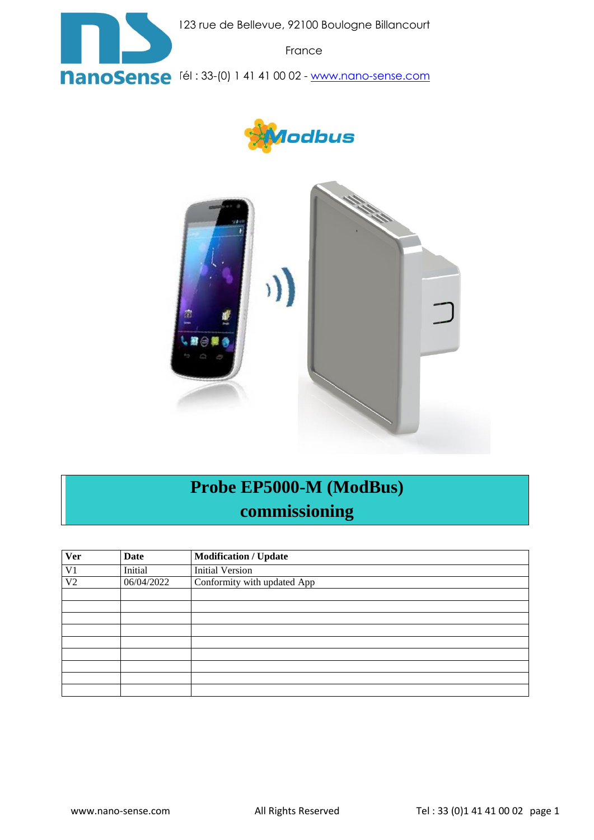

123 rue de Bellevue, 92100 Boulogne Billancourt

France

**NanoSense** [él: 33-(0) 1 41 41 00 02 - [www.nano-sense.com](http://www.nano-sense.com/)





# **Probe EP5000-M (ModBus) commissioning**

| <b>Ver</b>     | <b>Date</b> | <b>Modification / Update</b> |
|----------------|-------------|------------------------------|
| V1             | Initial     | <b>Initial Version</b>       |
| V <sub>2</sub> | 06/04/2022  | Conformity with updated App  |
|                |             |                              |
|                |             |                              |
|                |             |                              |
|                |             |                              |
|                |             |                              |
|                |             |                              |
|                |             |                              |
|                |             |                              |
|                |             |                              |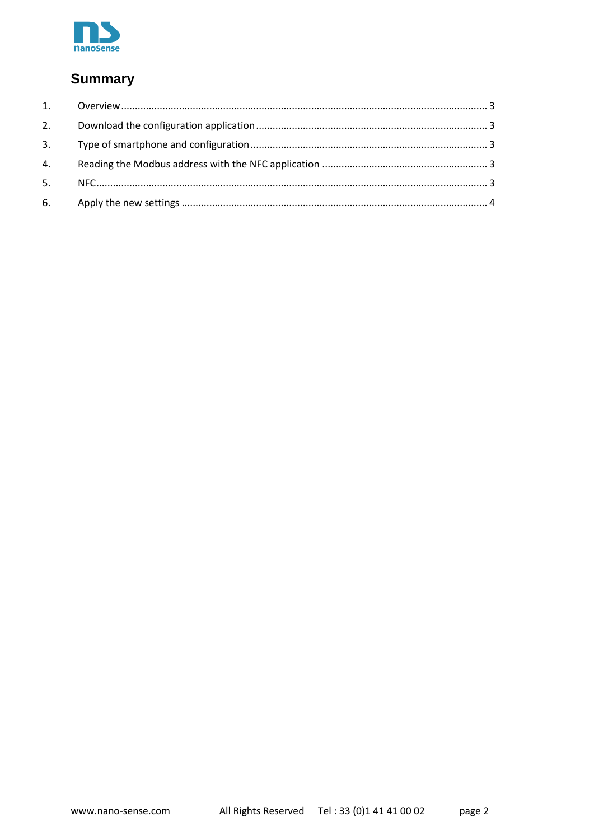

#### **Summary**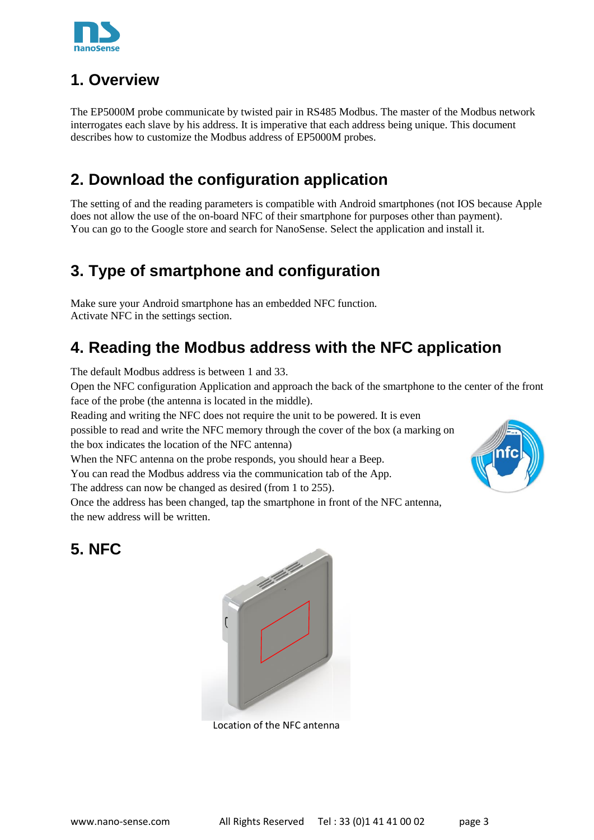

#### <span id="page-2-0"></span>**1. Overview**

The EP5000M probe communicate by twisted pair in RS485 Modbus. The master of the Modbus network interrogates each slave by his address. It is imperative that each address being unique. This document describes how to customize the Modbus address of EP5000M probes.

### <span id="page-2-1"></span>**2. Download the configuration application**

The setting of and the reading parameters is compatible with Android smartphones (not IOS because Apple does not allow the use of the on-board NFC of their smartphone for purposes other than payment). You can go to the Google store and search for NanoSense. Select the application and install it.

### <span id="page-2-2"></span>**3. Type of smartphone and configuration**

Make sure your Android smartphone has an embedded NFC function. Activate NFC in the settings section.

## <span id="page-2-3"></span>**4. Reading the Modbus address with the NFC application**

The default Modbus address is between 1 and 33.

Open the NFC configuration Application and approach the back of the smartphone to the center of the front face of the probe (the antenna is located in the middle).

Reading and writing the NFC does not require the unit to be powered. It is even

possible to read and write the NFC memory through the cover of the box (a marking on the box indicates the location of the NFC antenna)

When the NFC antenna on the probe responds, you should hear a Beep.

You can read the Modbus address via the communication tab of the App.

The address can now be changed as desired (from 1 to 255).

Once the address has been changed, tap the smartphone in front of the NFC antenna, the new address will be written.

#### <span id="page-2-4"></span>**5. NFC**



Location of the NFC antenna